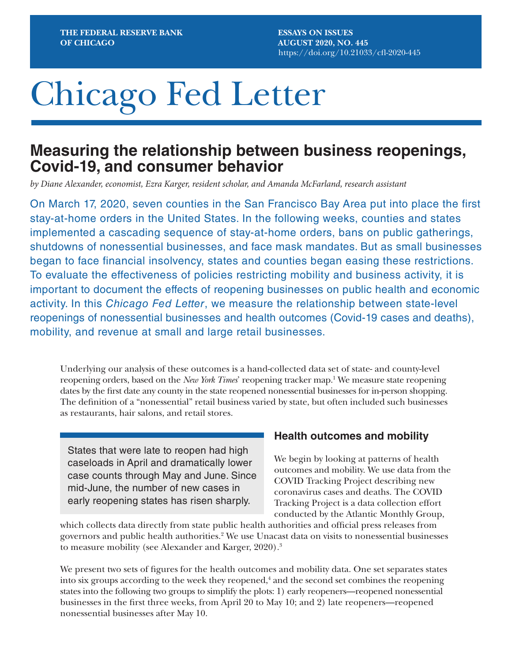**ESSAYS ON ISSUES AUGUST 2020, NO. 445** <https://doi.org/10.21033/cfl-2020-445>

# Chicago Fed Letter

## **Measuring the relationship between business reopenings, Covid-19, and consumer behavior**

*by Diane Alexander, economist, Ezra Karger, resident scholar, and Amanda McFarland, research assistant*

On March 17, 2020, seven counties in the San Francisco Bay Area put into place the first stay-at-home orders in the United States. In the following weeks, counties and states implemented a cascading sequence of stay-at-home orders, bans on public gatherings, shutdowns of nonessential businesses, and face mask mandates. But as small businesses began to face financial insolvency, states and counties began easing these restrictions. To evaluate the effectiveness of policies restricting mobility and business activity, it is important to document the effects of reopening businesses on public health and economic activity. In this *Chicago Fed Letter*, we measure the relationship between state-level reopenings of nonessential businesses and health outcomes (Covid-19 cases and deaths), mobility, and revenue at small and large retail businesses.

Underlying our analysis of these outcomes is a hand-collected data set of state- and county-level reopening orders, based on the *New York Times*' reopening tracker map.1 We measure state reopening dates by the first date any county in the state reopened nonessential businesses for in-person shopping. The definition of a "nonessential" retail business varied by state, but often included such businesses as restaurants, hair salons, and retail stores.

States that were late to reopen had high caseloads in April and dramatically lower case counts through May and June. Since mid-June, the number of new cases in early reopening states has risen sharply.

#### **Health outcomes and mobility**

We begin by looking at patterns of health outcomes and mobility. We use data from the COVID Tracking Project describing new coronavirus cases and deaths. The COVID Tracking Project is a data collection effort conducted by the Atlantic Monthly Group,

which collects data directly from state public health authorities and official press releases from governors and public health authorities.<sup>2</sup> We use Unacast data on visits to nonessential businesses to measure mobility (see Alexander and Karger, 2020).<sup>3</sup>

We present two sets of figures for the health outcomes and mobility data. One set separates states into six groups according to the week they reopened,<sup>4</sup> and the second set combines the reopening states into the following two groups to simplify the plots: 1) early reopeners—reopened nonessential businesses in the first three weeks, from April 20 to May 10; and 2) late reopeners—reopened nonessential businesses after May 10.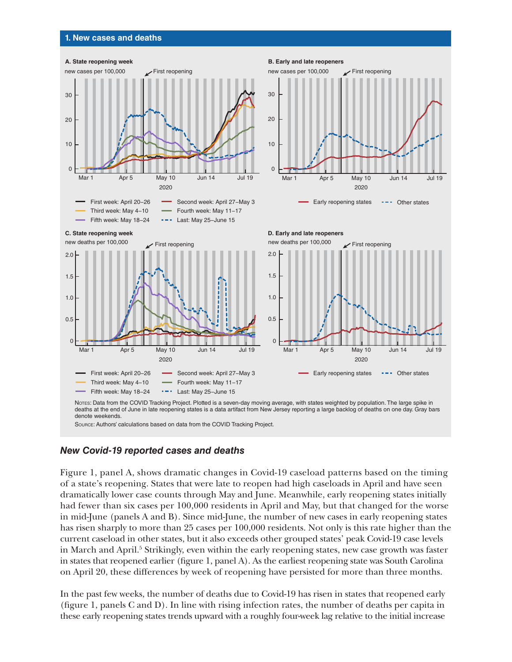#### **1. New cases and deaths**



#### *New Covid-19 reported cases and deaths*

Figure 1, panel A, shows dramatic changes in Covid-19 caseload patterns based on the timing of a state's reopening. States that were late to reopen had high caseloads in April and have seen dramatically lower case counts through May and June. Meanwhile, early reopening states initially had fewer than six cases per 100,000 residents in April and May, but that changed for the worse in mid-June (panels A and B). Since mid-June, the number of new cases in early reopening states has risen sharply to more than 25 cases per 100,000 residents. Not only is this rate higher than the current caseload in other states, but it also exceeds other grouped states' peak Covid-19 case levels in March and April.<sup>5</sup> Strikingly, even within the early reopening states, new case growth was faster in states that reopened earlier (figure 1, panel A). As the earliest reopening state was South Carolina on April 20, these differences by week of reopening have persisted for more than three months.

In the past few weeks, the number of deaths due to Covid-19 has risen in states that reopened early (figure 1, panels C and D). In line with rising infection rates, the number of deaths per capita in these early reopening states trends upward with a roughly four-week lag relative to the initial increase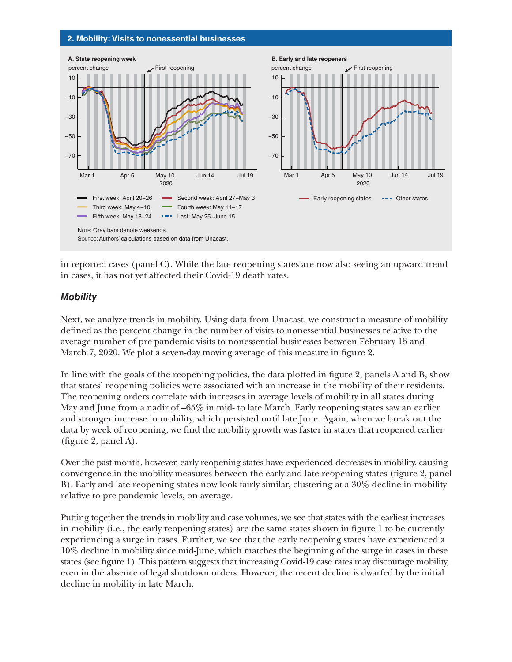#### **2. Mobility: Visits to nonessential businesses**



in reported cases (panel C). While the late reopening states are now also seeing an upward trend in cases, it has not yet affected their Covid-19 death rates.

#### *Mobility*

Next, we analyze trends in mobility. Using data from Unacast, we construct a measure of mobility defined as the percent change in the number of visits to nonessential businesses relative to the average number of pre-pandemic visits to nonessential businesses between February 15 and March 7, 2020. We plot a seven-day moving average of this measure in figure 2.

In line with the goals of the reopening policies, the data plotted in figure 2, panels A and B, show that states' reopening policies were associated with an increase in the mobility of their residents. The reopening orders correlate with increases in average levels of mobility in all states during May and June from a nadir of –65% in mid- to late March. Early reopening states saw an earlier and stronger increase in mobility, which persisted until late June. Again, when we break out the data by week of reopening, we find the mobility growth was faster in states that reopened earlier (figure 2, panel A).

Over the past month, however, early reopening states have experienced decreases in mobility, causing convergence in the mobility measures between the early and late reopening states (figure 2, panel B). Early and late reopening states now look fairly similar, clustering at a 30% decline in mobility relative to pre-pandemic levels, on average.

Putting together the trends in mobility and case volumes, we see that states with the earliest increases in mobility (i.e., the early reopening states) are the same states shown in figure 1 to be currently experiencing a surge in cases. Further, we see that the early reopening states have experienced a 10% decline in mobility since mid-June, which matches the beginning of the surge in cases in these states (see figure 1). This pattern suggests that increasing Covid-19 case rates may discourage mobility, even in the absence of legal shutdown orders. However, the recent decline is dwarfed by the initial decline in mobility in late March.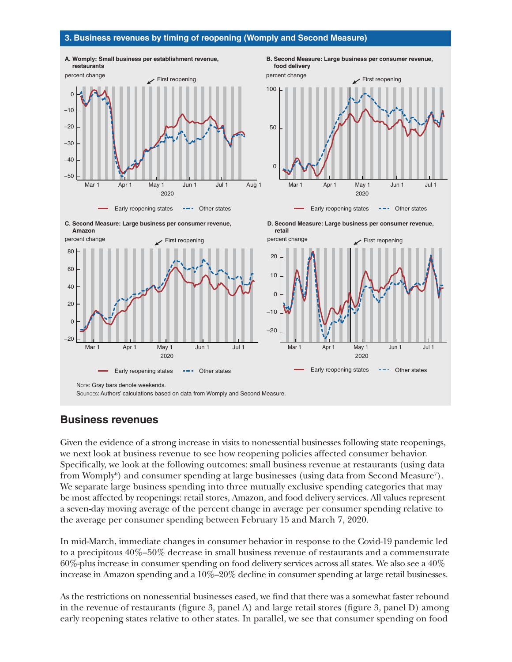#### **3. Business revenues by timing of reopening (Womply and Second Measure)**







Early reopening states  $---$  Other states



2020

Mar 1 Apr 1 May 1 Jun 1 Jul 1 Aug 1

Early reopening states  $\cdots$  Other states





#### **Business revenues**

Given the evidence of a strong increase in visits to nonessential businesses following state reopenings, we next look at business revenue to see how reopening policies affected consumer behavior. Specifically, we look at the following outcomes: small business revenue at restaurants (using data from Womply<sup>6</sup>) and consumer spending at large businesses (using data from Second Measure<sup>7</sup>). We separate large business spending into three mutually exclusive spending categories that may be most affected by reopenings: retail stores, Amazon, and food delivery services. All values represent a seven-day moving average of the percent change in average per consumer spending relative to the average per consumer spending between February 15 and March 7, 2020.

In mid-March, immediate changes in consumer behavior in response to the Covid-19 pandemic led to a precipitous 40%–50% decrease in small business revenue of restaurants and a commensurate 60%-plus increase in consumer spending on food delivery services across all states. We also see a 40% increase in Amazon spending and a 10%–20% decline in consumer spending at large retail businesses.

As the restrictions on nonessential businesses eased, we find that there was a somewhat faster rebound in the revenue of restaurants (figure 3, panel A) and large retail stores (figure 3, panel D) among early reopening states relative to other states. In parallel, we see that consumer spending on food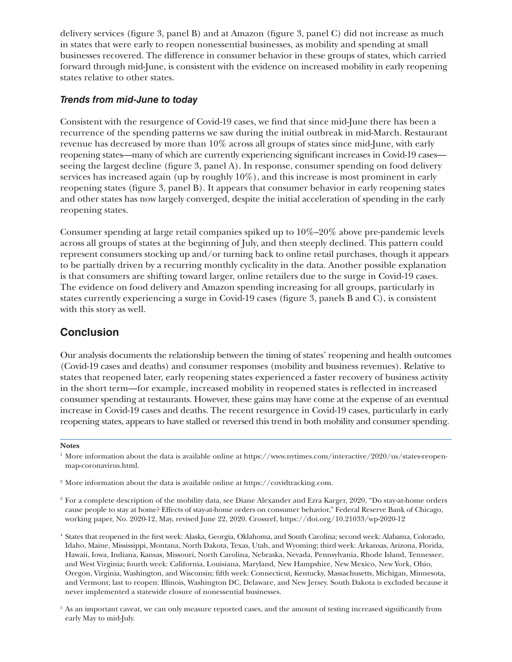delivery services (figure 3, panel B) and at Amazon (figure 3, panel C) did not increase as much in states that were early to reopen nonessential businesses, as mobility and spending at small businesses recovered. The difference in consumer behavior in these groups of states, which carried forward through mid-June, is consistent with the evidence on increased mobility in early reopening states relative to other states.

#### *Trends from mid-June to today*

Consistent with the resurgence of Covid-19 cases, we find that since mid-June there has been a recurrence of the spending patterns we saw during the initial outbreak in mid-March. Restaurant revenue has decreased by more than 10% across all groups of states since mid-June, with early reopening states—many of which are currently experiencing significant increases in Covid-19 cases seeing the largest decline (figure 3, panel A). In response, consumer spending on food delivery services has increased again (up by roughly 10%), and this increase is most prominent in early reopening states (figure 3, panel B). It appears that consumer behavior in early reopening states and other states has now largely converged, despite the initial acceleration of spending in the early reopening states.

Consumer spending at large retail companies spiked up to 10%–20% above pre-pandemic levels across all groups of states at the beginning of July, and then steeply declined. This pattern could represent consumers stocking up and/or turning back to online retail purchases, though it appears to be partially driven by a recurring monthly cyclicality in the data. Another possible explanation is that consumers are shifting toward larger, online retailers due to the surge in Covid-19 cases. The evidence on food delivery and Amazon spending increasing for all groups, particularly in states currently experiencing a surge in Covid-19 cases (figure 3, panels B and C), is consistent with this story as well.

### **Conclusion**

Our analysis documents the relationship between the timing of states' reopening and health outcomes (Covid-19 cases and deaths) and consumer responses (mobility and business revenues). Relative to states that reopened later, early reopening states experienced a faster recovery of business activity in the short term—for example, increased mobility in reopened states is reflected in increased consumer spending at restaurants. However, these gains may have come at the expense of an eventual increase in Covid-19 cases and deaths. The recent resurgence in Covid-19 cases, particularly in early reopening states, appears to have stalled or reversed this trend in both mobility and consumer spending.

#### **Notes**

- <sup>2</sup> More information about the data is available online at <https://covidtracking.com>.
- 3 For a complete description of the mobility data, see Diane Alexander and Ezra Karger, 2020, "Do stay-at-home orders cause people to stay at home? Effects of stay-at-home orders on consumer behavior," Federal Reserve Bank of Chicago, working paper, No. 2020-12, May, revised June 22, 2020. Crossref, <https://doi.org/10.21033/wp-2020-12>
- <sup>4</sup> States that reopened in the first week: Alaska, Georgia, Oklahoma, and South Carolina; second week: Alabama, Colorado, Idaho, Maine, Mississippi, Montana, North Dakota, Texas, Utah, and Wyoming; third week: Arkansas, Arizona, Florida, Hawaii, Iowa, Indiana, Kansas, Missouri, North Carolina, Nebraska, Nevada, Pennsylvania, Rhode Island, Tennessee, and West Virginia; fourth week: California, Louisiana, Maryland, New Hampshire, New Mexico, New York, Ohio, Oregon, Virginia, Washington, and Wisconsin; fifth week: Connecticut, Kentucky, Massachusetts, Michigan, Minnesota, and Vermont; last to reopen: Illinois, Washington DC, Delaware, and New Jersey. South Dakota is excluded because it never implemented a statewide closure of nonessential businesses.
- <sup>5</sup> As an important caveat, we can only measure reported cases, and the amount of testing increased significantly from early May to mid-July.

<sup>&</sup>lt;sup>1</sup> More information about the data is available online at [https://www.nytimes.com/interactive/2020/us/states-reopen](https://www.nytimes.com/interactive/2020/us/states-reopen-map-coronavirus.html)[map-coronavirus.html](https://www.nytimes.com/interactive/2020/us/states-reopen-map-coronavirus.html).